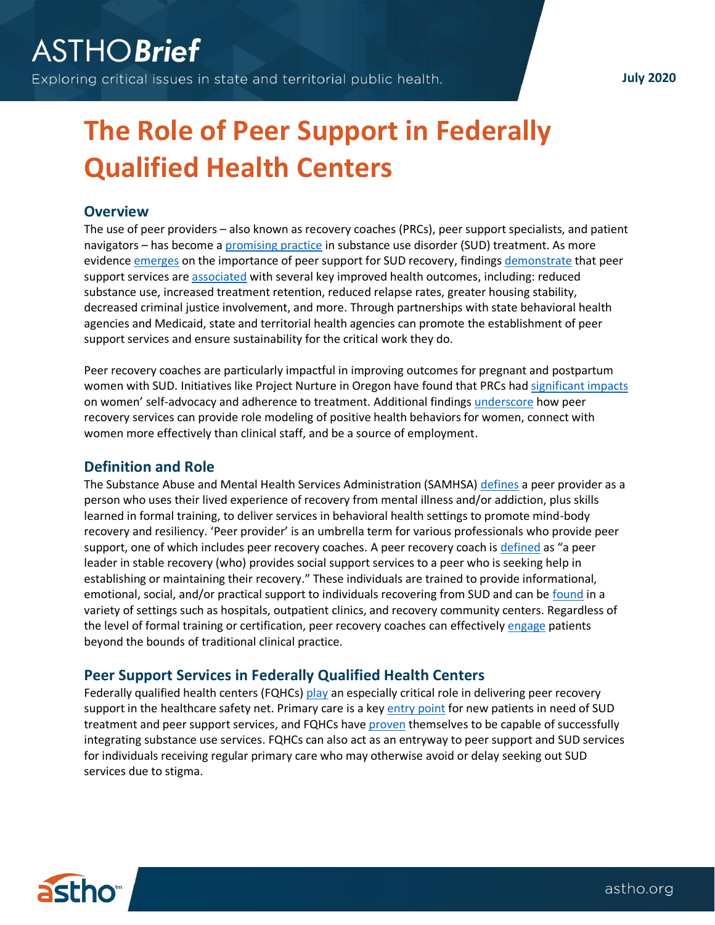**July 2020**

# **The Role of Peer Support in Federally Qualified Health Centers**

## **Overview**

The use of peer providers – also known as recovery coaches (PRCs), peer support specialists, and patient navigators – has become a [promising practice](https://www.integration.samhsa.gov/workforce/team-members/peer-providers) in substance use disorder (SUD) treatment. As more evidence [emerges](https://www.samhsa.gov/sites/default/files/programs_campaigns/brss_tacs/peers-supporting-recovery-substance-use-disorders-2017.pdf) on the importance of peer support for SUD recovery, findings [demonstrate](https://www.sciencedirect.com/science/article/abs/pii/S0740547216000167) that peer support services ar[e associated](https://www.ncbi.nlm.nih.gov/pmc/articles/PMC6585590/) with several key improved health outcomes, including: reduced substance use, increased treatment retention, reduced relapse rates, greater housing stability, decreased criminal justice involvement, and more. Through partnerships with state behavioral health agencies and Medicaid, state and territorial health agencies can promote the establishment of peer support services and ensure sustainability for the critical work they do.

Peer recovery coaches are particularly impactful in improving outcomes for pregnant and postpartum women with SUD. Initiatives like Project Nurture in Oregon have found that PRCs had [significant impacts](https://www.healthaffairs.org/doi/full/10.1377/hlthaff.2019.01574) on women' self-advocacy and adherence to treatment. Additional findings [underscore](https://books.google.com/books?hl=en&lr=&id=iyVTDwAAQBAJ&oi=fnd&pg=PA105&dq=%22peer+support%22+services+%22maternal+health%22+%22substance+use+disorder%22&ots=VHQ2-LMYGK&sig=uYbUuQR4llbfKVCAjbQxVdLXsJk#v=onepage&q=peer&f=false) how peer recovery services can provide role modeling of positive health behaviors for women, connect with women more effectively than clinical staff, and be a source of employment.

## **Definition and Role**

The Substance Abuse and Mental Health Services Administration (SAMHSA[\) defines](https://www.integration.samhsa.gov/workforce/team-members/peer-providers) a peer provider as a person who uses their lived experience of recovery from mental illness and/or addiction, plus skills learned in formal training, to deliver services in behavioral health settings to promote mind-body recovery and resiliency. 'Peer provider' is an umbrella term for various professionals who provide peer support, one of which includes peer recovery coaches. A peer recovery coach is [defined](https://store.samhsa.gov/sites/default/files/d7/priv/sma09-4454.pdf) as "a peer leader in stable recovery (who) provides social support services to a peer who is seeking help in establishing or maintaining their recovery." These individuals are trained to provide informational, emotional, social, and/or practical support to individuals recovering from SUD and can be [found](http://pdfs.semanticscholar.org/018c/439d729da5d9064c4143d3d626219e30a6f6.pdf) in a variety of settings such as hospitals, outpatient clinics, and recovery community centers. Regardless of the level of formal training or certification, peer recovery coaches can effectively [engage](https://www.frontiersin.org/articles/10.3389/fpsyg.2019.01052/full) patients beyond the bounds of traditional clinical practice.

## **Peer Support Services in Federally Qualified Health Centers**

Federally qualified health centers (FQHCs) [play](https://www.hrsa.gov/opa/eligibility-and-registration/health-centers/fqhc/index.html) an especially critical role in delivering peer recovery support in the healthcare safety net. Primary care is a key [entry point](http://www.nachc.org/wp-content/uploads/2018/03/NACHC_PI_2018_WEB_v1.pdf) for new patients in need of SUD treatment and peer support services, and FQHCs have [proven](https://www.sciencedirect.com/science/article/abs/pii/S0740547215002226) themselves to be capable of successfully integrating substance use services. FQHCs can also act as an entryway to peer support and SUD services for individuals receiving regular primary care who may otherwise avoid or delay seeking out SUD services due to stigma.